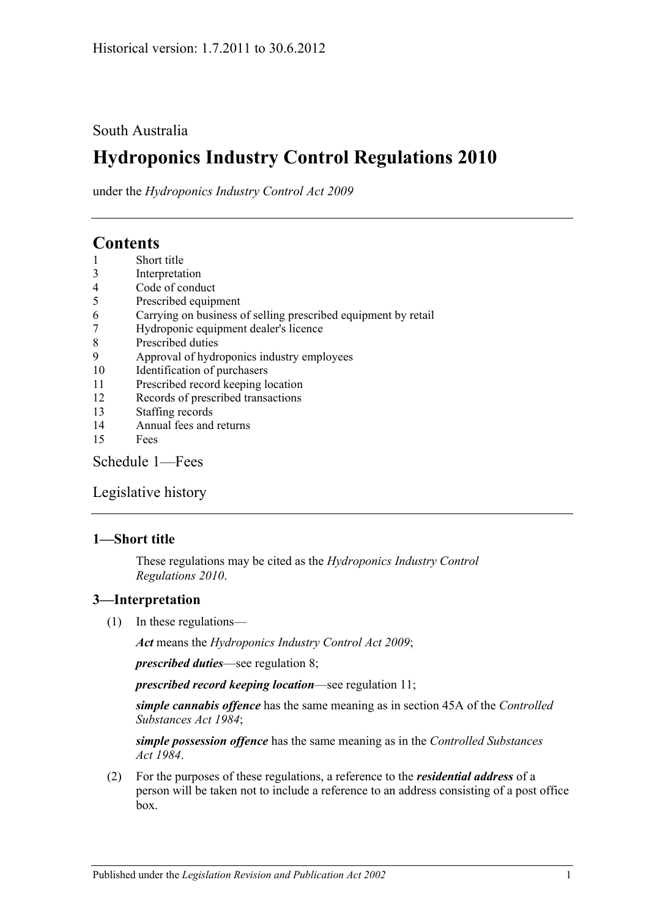# South Australia

# **Hydroponics Industry Control Regulations 2010**

under the *Hydroponics Industry Control Act 2009*

# **Contents**

- 1 [Short title](#page-0-0)
- 3 [Interpretation](#page-0-1)
- 4 [Code of conduct](#page-1-0)
- 5 [Prescribed equipment](#page-1-1)
- 6 [Carrying on business of selling prescribed equipment by retail](#page-1-2)
- 7 [Hydroponic equipment dealer's licence](#page-1-3)
- 8 [Prescribed duties](#page-2-0)
- 9 [Approval of hydroponics industry employees](#page-2-1)
- 10 [Identification of purchasers](#page-3-0)
- 11 [Prescribed record keeping location](#page-4-0)
- 12 [Records of prescribed transactions](#page-4-1)
- 13 [Staffing records](#page-5-0)
- 14 [Annual fees and returns](#page-5-1)
- 15 [Fees](#page-6-0)

[Schedule](#page-6-1) 1—Fees

[Legislative history](#page-7-0)

## <span id="page-0-0"></span>**1—Short title**

These regulations may be cited as the *Hydroponics Industry Control Regulations 2010*.

## <span id="page-0-1"></span>**3—Interpretation**

(1) In these regulations—

*Act* means the *[Hydroponics Industry Control Act](http://www.legislation.sa.gov.au/index.aspx?action=legref&type=act&legtitle=Hydroponics%20Industry%20Control%20Act%202009) 2009*;

*prescribed duties*—see [regulation](#page-2-0) 8;

*prescribed record keeping location*—see [regulation](#page-4-0) 11;

*simple cannabis offence* has the same meaning as in section 45A of the *[Controlled](http://www.legislation.sa.gov.au/index.aspx?action=legref&type=act&legtitle=Controlled%20Substances%20Act%201984)  [Substances Act](http://www.legislation.sa.gov.au/index.aspx?action=legref&type=act&legtitle=Controlled%20Substances%20Act%201984) 1984*;

*simple possession offence* has the same meaning as in the *[Controlled Substances](http://www.legislation.sa.gov.au/index.aspx?action=legref&type=act&legtitle=Controlled%20Substances%20Act%201984)  Act [1984](http://www.legislation.sa.gov.au/index.aspx?action=legref&type=act&legtitle=Controlled%20Substances%20Act%201984)*.

(2) For the purposes of these regulations, a reference to the *residential address* of a person will be taken not to include a reference to an address consisting of a post office box.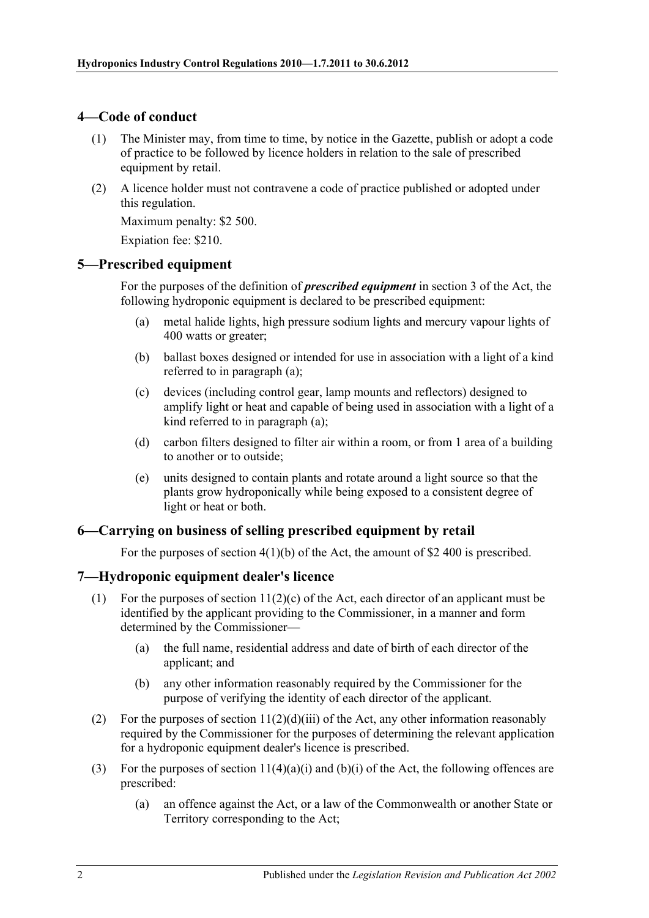# <span id="page-1-0"></span>**4—Code of conduct**

- (1) The Minister may, from time to time, by notice in the Gazette, publish or adopt a code of practice to be followed by licence holders in relation to the sale of prescribed equipment by retail.
- (2) A licence holder must not contravene a code of practice published or adopted under this regulation.

Maximum penalty: \$2 500.

Expiation fee: \$210.

## <span id="page-1-4"></span><span id="page-1-1"></span>**5—Prescribed equipment**

For the purposes of the definition of *prescribed equipment* in section 3 of the Act, the following hydroponic equipment is declared to be prescribed equipment:

- (a) metal halide lights, high pressure sodium lights and mercury vapour lights of 400 watts or greater;
- (b) ballast boxes designed or intended for use in association with a light of a kind referred to in [paragraph](#page-1-4) (a);
- (c) devices (including control gear, lamp mounts and reflectors) designed to amplify light or heat and capable of being used in association with a light of a kind referred to in [paragraph](#page-1-4) (a);
- (d) carbon filters designed to filter air within a room, or from 1 area of a building to another or to outside;
- (e) units designed to contain plants and rotate around a light source so that the plants grow hydroponically while being exposed to a consistent degree of light or heat or both.

## <span id="page-1-2"></span>**6—Carrying on business of selling prescribed equipment by retail**

For the purposes of section 4(1)(b) of the Act, the amount of \$2 400 is prescribed.

## <span id="page-1-3"></span>**7—Hydroponic equipment dealer's licence**

- (1) For the purposes of section  $11(2)(c)$  of the Act, each director of an applicant must be identified by the applicant providing to the Commissioner, in a manner and form determined by the Commissioner—
	- (a) the full name, residential address and date of birth of each director of the applicant; and
	- (b) any other information reasonably required by the Commissioner for the purpose of verifying the identity of each director of the applicant.
- (2) For the purposes of section  $11(2)(d)(iii)$  of the Act, any other information reasonably required by the Commissioner for the purposes of determining the relevant application for a hydroponic equipment dealer's licence is prescribed.
- (3) For the purposes of section  $11(4)(a)(i)$  and  $(b)(i)$  of the Act, the following offences are prescribed:
	- (a) an offence against the Act, or a law of the Commonwealth or another State or Territory corresponding to the Act;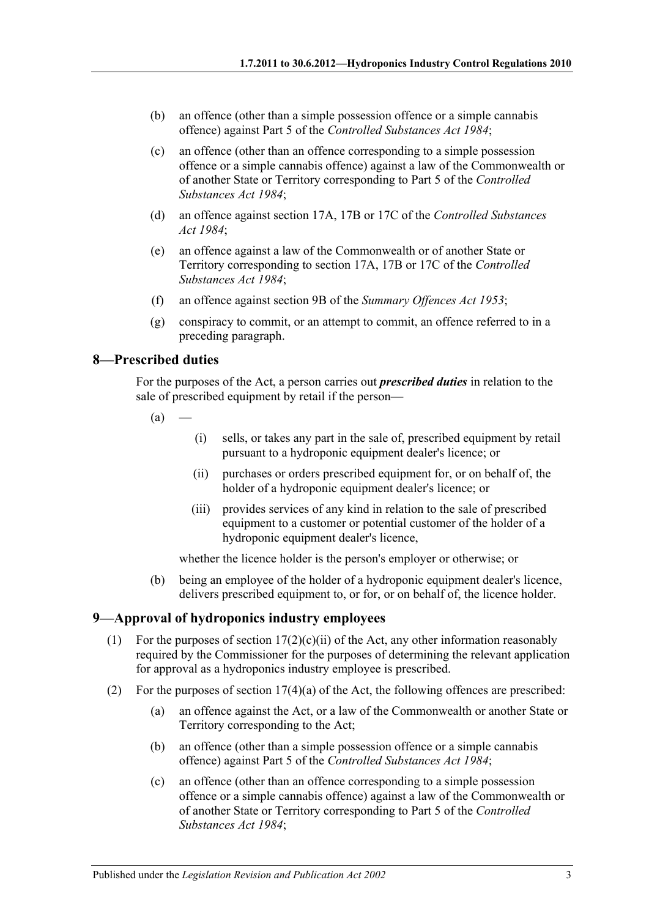- (b) an offence (other than a simple possession offence or a simple cannabis offence) against Part 5 of the *[Controlled Substances Act](http://www.legislation.sa.gov.au/index.aspx?action=legref&type=act&legtitle=Controlled%20Substances%20Act%201984) 1984*;
- (c) an offence (other than an offence corresponding to a simple possession offence or a simple cannabis offence) against a law of the Commonwealth or of another State or Territory corresponding to Part 5 of the *[Controlled](http://www.legislation.sa.gov.au/index.aspx?action=legref&type=act&legtitle=Controlled%20Substances%20Act%201984)  [Substances Act](http://www.legislation.sa.gov.au/index.aspx?action=legref&type=act&legtitle=Controlled%20Substances%20Act%201984) 1984*;
- (d) an offence against section 17A, 17B or 17C of the *[Controlled Substances](http://www.legislation.sa.gov.au/index.aspx?action=legref&type=act&legtitle=Controlled%20Substances%20Act%201984)  Act [1984](http://www.legislation.sa.gov.au/index.aspx?action=legref&type=act&legtitle=Controlled%20Substances%20Act%201984)*;
- (e) an offence against a law of the Commonwealth or of another State or Territory corresponding to section 17A, 17B or 17C of the *[Controlled](http://www.legislation.sa.gov.au/index.aspx?action=legref&type=act&legtitle=Controlled%20Substances%20Act%201984)  [Substances Act](http://www.legislation.sa.gov.au/index.aspx?action=legref&type=act&legtitle=Controlled%20Substances%20Act%201984) 1984*;
- (f) an offence against section 9B of the *[Summary Offences Act](http://www.legislation.sa.gov.au/index.aspx?action=legref&type=act&legtitle=Summary%20Offences%20Act%201953) 1953*;
- (g) conspiracy to commit, or an attempt to commit, an offence referred to in a preceding paragraph.

#### <span id="page-2-0"></span>**8—Prescribed duties**

For the purposes of the Act, a person carries out *prescribed duties* in relation to the sale of prescribed equipment by retail if the person—

- $(a)$
- (i) sells, or takes any part in the sale of, prescribed equipment by retail pursuant to a hydroponic equipment dealer's licence; or
- (ii) purchases or orders prescribed equipment for, or on behalf of, the holder of a hydroponic equipment dealer's licence; or
- (iii) provides services of any kind in relation to the sale of prescribed equipment to a customer or potential customer of the holder of a hydroponic equipment dealer's licence,

whether the licence holder is the person's employer or otherwise; or

(b) being an employee of the holder of a hydroponic equipment dealer's licence, delivers prescribed equipment to, or for, or on behalf of, the licence holder.

# <span id="page-2-1"></span>**9—Approval of hydroponics industry employees**

- (1) For the purposes of section  $17(2)(c)(ii)$  of the Act, any other information reasonably required by the Commissioner for the purposes of determining the relevant application for approval as a hydroponics industry employee is prescribed.
- (2) For the purposes of section 17(4)(a) of the Act, the following offences are prescribed:
	- (a) an offence against the Act, or a law of the Commonwealth or another State or Territory corresponding to the Act;
	- (b) an offence (other than a simple possession offence or a simple cannabis offence) against Part 5 of the *[Controlled Substances Act](http://www.legislation.sa.gov.au/index.aspx?action=legref&type=act&legtitle=Controlled%20Substances%20Act%201984) 1984*;
	- (c) an offence (other than an offence corresponding to a simple possession offence or a simple cannabis offence) against a law of the Commonwealth or of another State or Territory corresponding to Part 5 of the *[Controlled](http://www.legislation.sa.gov.au/index.aspx?action=legref&type=act&legtitle=Controlled%20Substances%20Act%201984)  [Substances Act](http://www.legislation.sa.gov.au/index.aspx?action=legref&type=act&legtitle=Controlled%20Substances%20Act%201984) 1984*;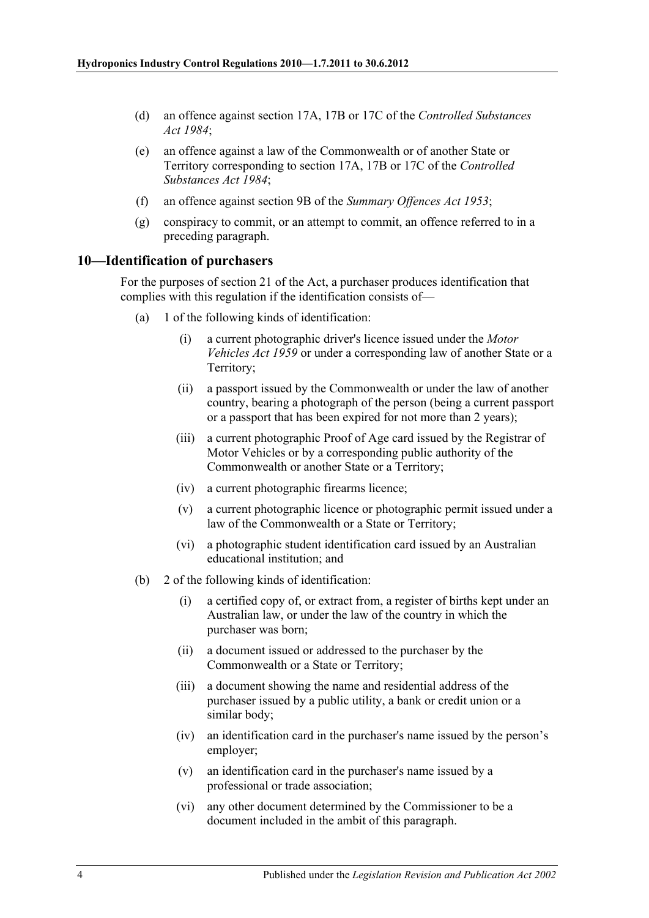- (d) an offence against section 17A, 17B or 17C of the *[Controlled Substances](http://www.legislation.sa.gov.au/index.aspx?action=legref&type=act&legtitle=Controlled%20Substances%20Act%201984)  Act [1984](http://www.legislation.sa.gov.au/index.aspx?action=legref&type=act&legtitle=Controlled%20Substances%20Act%201984)*;
- (e) an offence against a law of the Commonwealth or of another State or Territory corresponding to section 17A, 17B or 17C of the *[Controlled](http://www.legislation.sa.gov.au/index.aspx?action=legref&type=act&legtitle=Controlled%20Substances%20Act%201984)  [Substances Act](http://www.legislation.sa.gov.au/index.aspx?action=legref&type=act&legtitle=Controlled%20Substances%20Act%201984) 1984*;
- (f) an offence against section 9B of the *[Summary Offences Act](http://www.legislation.sa.gov.au/index.aspx?action=legref&type=act&legtitle=Summary%20Offences%20Act%201953) 1953*;
- (g) conspiracy to commit, or an attempt to commit, an offence referred to in a preceding paragraph.

## <span id="page-3-0"></span>**10—Identification of purchasers**

For the purposes of section 21 of the Act, a purchaser produces identification that complies with this regulation if the identification consists of—

- (a) 1 of the following kinds of identification:
	- (i) a current photographic driver's licence issued under the *[Motor](http://www.legislation.sa.gov.au/index.aspx?action=legref&type=act&legtitle=Motor%20Vehicles%20Act%201959)  [Vehicles Act](http://www.legislation.sa.gov.au/index.aspx?action=legref&type=act&legtitle=Motor%20Vehicles%20Act%201959) 1959* or under a corresponding law of another State or a Territory;
	- (ii) a passport issued by the Commonwealth or under the law of another country, bearing a photograph of the person (being a current passport or a passport that has been expired for not more than 2 years);
	- (iii) a current photographic Proof of Age card issued by the Registrar of Motor Vehicles or by a corresponding public authority of the Commonwealth or another State or a Territory;
	- (iv) a current photographic firearms licence;
	- (v) a current photographic licence or photographic permit issued under a law of the Commonwealth or a State or Territory;
	- (vi) a photographic student identification card issued by an Australian educational institution; and
- (b) 2 of the following kinds of identification:
	- (i) a certified copy of, or extract from, a register of births kept under an Australian law, or under the law of the country in which the purchaser was born;
	- (ii) a document issued or addressed to the purchaser by the Commonwealth or a State or Territory;
	- (iii) a document showing the name and residential address of the purchaser issued by a public utility, a bank or credit union or a similar body;
	- (iv) an identification card in the purchaser's name issued by the person's employer;
	- (v) an identification card in the purchaser's name issued by a professional or trade association;
	- (vi) any other document determined by the Commissioner to be a document included in the ambit of this paragraph.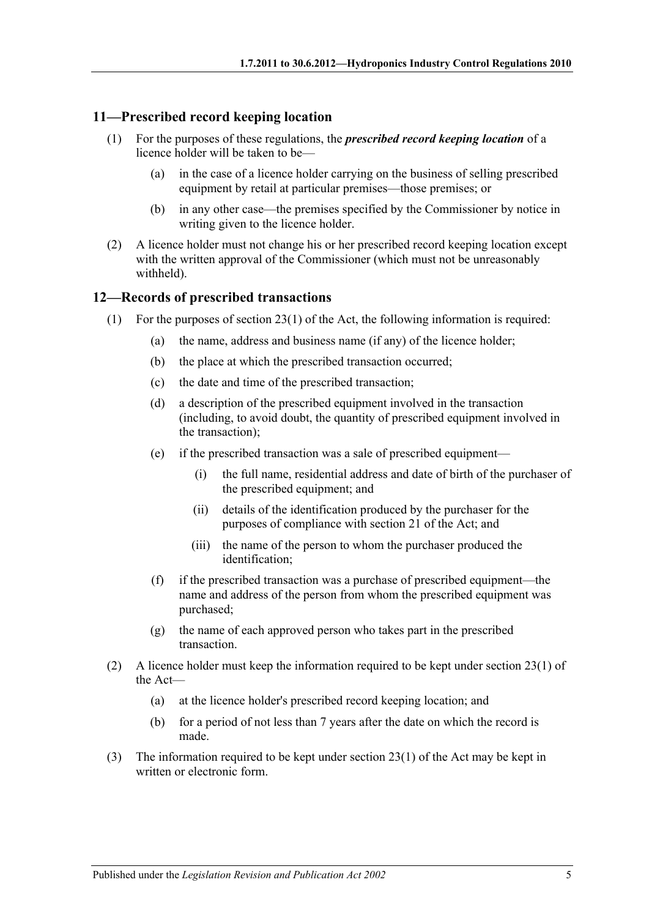#### <span id="page-4-0"></span>**11—Prescribed record keeping location**

- (1) For the purposes of these regulations, the *prescribed record keeping location* of a licence holder will be taken to be—
	- (a) in the case of a licence holder carrying on the business of selling prescribed equipment by retail at particular premises—those premises; or
	- (b) in any other case—the premises specified by the Commissioner by notice in writing given to the licence holder.
- (2) A licence holder must not change his or her prescribed record keeping location except with the written approval of the Commissioner (which must not be unreasonably withheld).

#### <span id="page-4-1"></span>**12—Records of prescribed transactions**

- <span id="page-4-5"></span><span id="page-4-4"></span><span id="page-4-2"></span>(1) For the purposes of section 23(1) of the Act, the following information is required:
	- (a) the name, address and business name (if any) of the licence holder;
	- (b) the place at which the prescribed transaction occurred;
	- (c) the date and time of the prescribed transaction;
	- (d) a description of the prescribed equipment involved in the transaction (including, to avoid doubt, the quantity of prescribed equipment involved in the transaction);
	- (e) if the prescribed transaction was a sale of prescribed equipment—
		- (i) the full name, residential address and date of birth of the purchaser of the prescribed equipment; and
		- (ii) details of the identification produced by the purchaser for the purposes of compliance with section 21 of the Act; and
		- (iii) the name of the person to whom the purchaser produced the identification;
	- (f) if the prescribed transaction was a purchase of prescribed equipment—the name and address of the person from whom the prescribed equipment was purchased;
	- (g) the name of each approved person who takes part in the prescribed transaction.
- <span id="page-4-3"></span>(2) A licence holder must keep the information required to be kept under section 23(1) of the Act—
	- (a) at the licence holder's prescribed record keeping location; and
	- (b) for a period of not less than 7 years after the date on which the record is made.
- (3) The information required to be kept under section 23(1) of the Act may be kept in written or electronic form.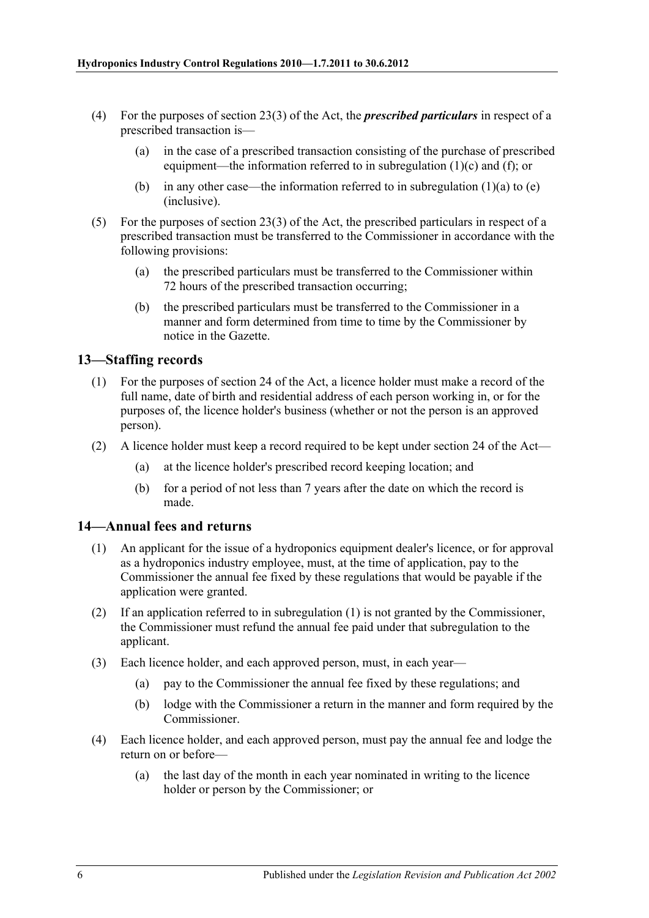- (4) For the purposes of section 23(3) of the Act, the *prescribed particulars* in respect of a prescribed transaction is—
	- (a) in the case of a prescribed transaction consisting of the purchase of prescribed equipment—the information referred to in [subregulation](#page-4-2) (1)(c) and [\(f\);](#page-4-3) or
	- (b) in any other case—the information referred to in [subregulation](#page-4-4)  $(1)(a)$  to  $(e)$ (inclusive).
- (5) For the purposes of section 23(3) of the Act, the prescribed particulars in respect of a prescribed transaction must be transferred to the Commissioner in accordance with the following provisions:
	- (a) the prescribed particulars must be transferred to the Commissioner within 72 hours of the prescribed transaction occurring;
	- (b) the prescribed particulars must be transferred to the Commissioner in a manner and form determined from time to time by the Commissioner by notice in the Gazette.

## <span id="page-5-0"></span>**13—Staffing records**

- (1) For the purposes of section 24 of the Act, a licence holder must make a record of the full name, date of birth and residential address of each person working in, or for the purposes of, the licence holder's business (whether or not the person is an approved person).
- (2) A licence holder must keep a record required to be kept under section 24 of the Act—
	- (a) at the licence holder's prescribed record keeping location; and
	- (b) for a period of not less than 7 years after the date on which the record is made.

#### <span id="page-5-2"></span><span id="page-5-1"></span>**14—Annual fees and returns**

- (1) An applicant for the issue of a hydroponics equipment dealer's licence, or for approval as a hydroponics industry employee, must, at the time of application, pay to the Commissioner the annual fee fixed by these regulations that would be payable if the application were granted.
- (2) If an application referred to in [subregulation](#page-5-2) (1) is not granted by the Commissioner, the Commissioner must refund the annual fee paid under that subregulation to the applicant.
- (3) Each licence holder, and each approved person, must, in each year—
	- (a) pay to the Commissioner the annual fee fixed by these regulations; and
	- (b) lodge with the Commissioner a return in the manner and form required by the Commissioner.
- (4) Each licence holder, and each approved person, must pay the annual fee and lodge the return on or before—
	- (a) the last day of the month in each year nominated in writing to the licence holder or person by the Commissioner; or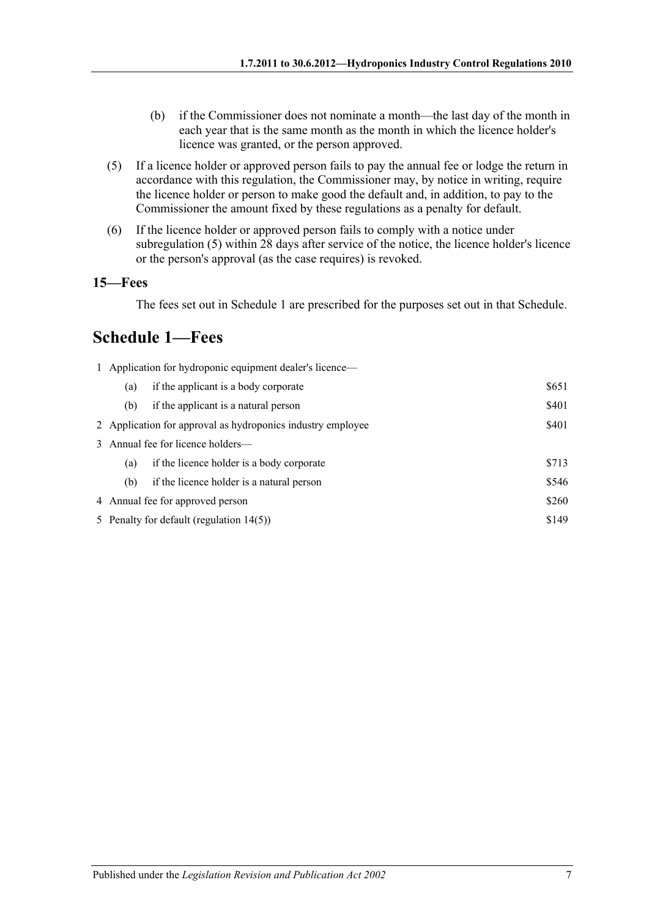- (b) if the Commissioner does not nominate a month—the last day of the month in each year that is the same month as the month in which the licence holder's licence was granted, or the person approved.
- <span id="page-6-2"></span>(5) If a licence holder or approved person fails to pay the annual fee or lodge the return in accordance with this regulation, the Commissioner may, by notice in writing, require the licence holder or person to make good the default and, in addition, to pay to the Commissioner the amount fixed by these regulations as a penalty for default.
- (6) If the licence holder or approved person fails to comply with a notice under [subregulation](#page-6-2) (5) within 28 days after service of the notice, the licence holder's licence or the person's approval (as the case requires) is revoked.

#### <span id="page-6-0"></span>**15—Fees**

The fees set out in [Schedule](#page-6-1) 1 are prescribed for the purposes set out in that Schedule.

# <span id="page-6-1"></span>**Schedule 1—Fees**

| 1 Application for hydroponic equipment dealer's licence— |                                                             |       |  |  |  |
|----------------------------------------------------------|-------------------------------------------------------------|-------|--|--|--|
| (a)                                                      | if the applicant is a body corporate                        | \$651 |  |  |  |
| (b)                                                      | if the applicant is a natural person                        | \$401 |  |  |  |
|                                                          | 2 Application for approval as hydroponics industry employee | \$401 |  |  |  |
|                                                          | 3 Annual fee for licence holders—                           |       |  |  |  |
| (a)                                                      | if the licence holder is a body corporate                   | \$713 |  |  |  |
| (b)                                                      | if the licence holder is a natural person                   | \$546 |  |  |  |
| 4 Annual fee for approved person                         |                                                             | \$260 |  |  |  |
| \$149<br>5 Penalty for default (regulation 14(5))        |                                                             |       |  |  |  |